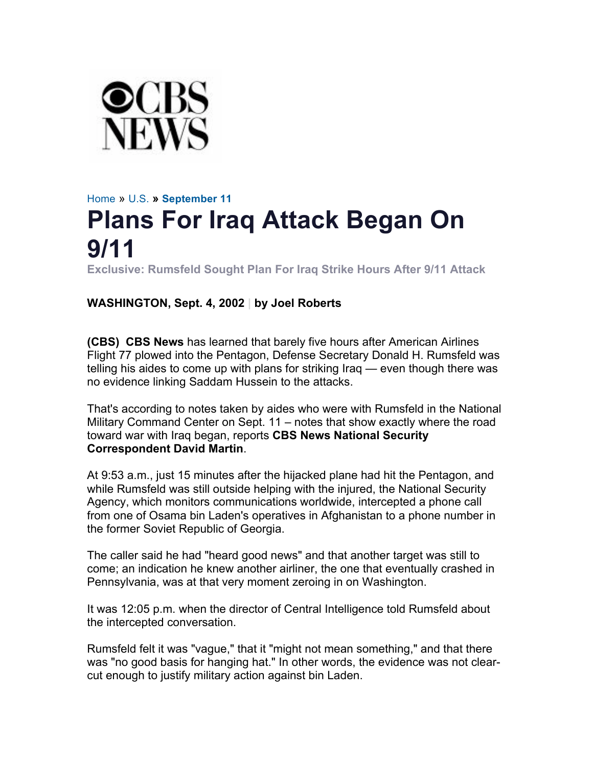

## Home » U.S. **» September 11 Plans For Iraq Attack Began On 9/11**

**Exclusive: Rumsfeld Sought Plan For Iraq Strike Hours After 9/11 Attack**

## **WASHINGTON, Sept. 4, 2002 | by Joel Roberts**

**(CBS) CBS News** has learned that barely five hours after American Airlines Flight 77 plowed into the Pentagon, Defense Secretary Donald H. Rumsfeld was telling his aides to come up with plans for striking Iraq — even though there was no evidence linking Saddam Hussein to the attacks.

That's according to notes taken by aides who were with Rumsfeld in the National Military Command Center on Sept. 11 – notes that show exactly where the road toward war with Iraq began, reports **CBS News National Security Correspondent David Martin**.

At 9:53 a.m., just 15 minutes after the hijacked plane had hit the Pentagon, and while Rumsfeld was still outside helping with the injured, the National Security Agency, which monitors communications worldwide, intercepted a phone call from one of Osama bin Laden's operatives in Afghanistan to a phone number in the former Soviet Republic of Georgia.

The caller said he had "heard good news" and that another target was still to come; an indication he knew another airliner, the one that eventually crashed in Pennsylvania, was at that very moment zeroing in on Washington.

It was 12:05 p.m. when the director of Central Intelligence told Rumsfeld about the intercepted conversation.

Rumsfeld felt it was "vague," that it "might not mean something," and that there was "no good basis for hanging hat." In other words, the evidence was not clearcut enough to justify military action against bin Laden.